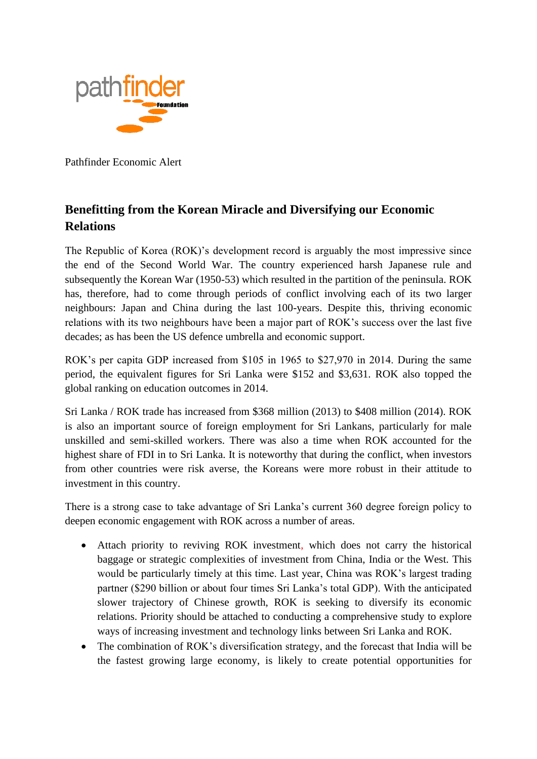

Pathfinder Economic Alert

## **Benefitting from the Korean Miracle and Diversifying our Economic Relations**

The Republic of Korea (ROK)'s development record is arguably the most impressive since the end of the Second World War. The country experienced harsh Japanese rule and subsequently the Korean War (1950-53) which resulted in the partition of the peninsula. ROK has, therefore, had to come through periods of conflict involving each of its two larger neighbours: Japan and China during the last 100-years. Despite this, thriving economic relations with its two neighbours have been a major part of ROK's success over the last five decades; as has been the US defence umbrella and economic support.

ROK's per capita GDP increased from \$105 in 1965 to \$27,970 in 2014. During the same period, the equivalent figures for Sri Lanka were \$152 and \$3,631. ROK also topped the global ranking on education outcomes in 2014.

Sri Lanka / ROK trade has increased from \$368 million (2013) to \$408 million (2014). ROK is also an important source of foreign employment for Sri Lankans, particularly for male unskilled and semi-skilled workers. There was also a time when ROK accounted for the highest share of FDI in to Sri Lanka. It is noteworthy that during the conflict, when investors from other countries were risk averse, the Koreans were more robust in their attitude to investment in this country.

There is a strong case to take advantage of Sri Lanka's current 360 degree foreign policy to deepen economic engagement with ROK across a number of areas.

- Attach priority to reviving ROK investment, which does not carry the historical baggage or strategic complexities of investment from China, India or the West. This would be particularly timely at this time. Last year, China was ROK's largest trading partner (\$290 billion or about four times Sri Lanka's total GDP). With the anticipated slower trajectory of Chinese growth, ROK is seeking to diversify its economic relations. Priority should be attached to conducting a comprehensive study to explore ways of increasing investment and technology links between Sri Lanka and ROK.
- The combination of ROK's diversification strategy, and the forecast that India will be the fastest growing large economy, is likely to create potential opportunities for